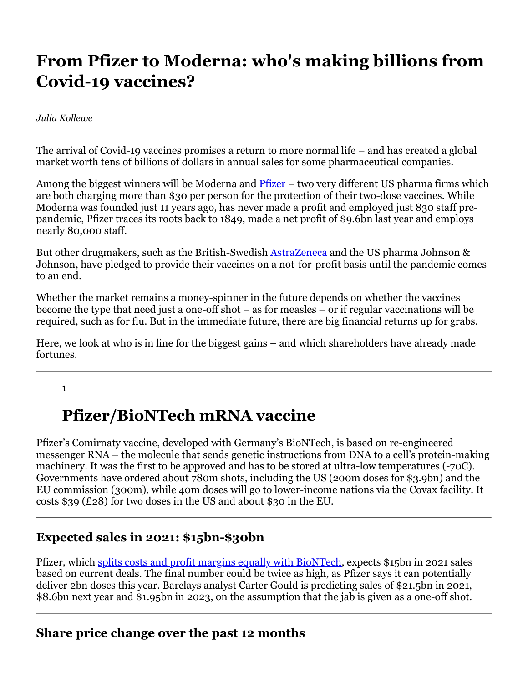# **From Pfizer to Moderna: who's making billions from Covid-19 vaccines?**

*Julia Kollewe*

The arrival of Covid-19 vaccines promises a return to more normal life – and has created a global market worth tens of billions of dollars in annual sales for some pharmaceutical companies.

Among the biggest winners will be Moderna and  $\frac{Pfizer}{Pfizer}$  – two very different US pharma firms which are both charging more than \$30 per person for the protection of their two-dose vaccines. While Moderna was founded just 11 years ago, has never made a profit and employed just 830 staff prepandemic, Pfizer traces its roots back to 1849, made a net profit of \$9.6bn last year and employs nearly 80,000 staff.

But other drugmakers, such as the British-Swedish AstraZeneca and the US pharma Johnson & Johnson, have pledged to provide their vaccines on a not-for-profit basis until the pandemic comes to an end.

Whether the market remains a money-spinner in the future depends on whether the vaccines become the type that need just a one-off shot – as for measles – or if regular vaccinations will be required, such as for flu. But in the immediate future, there are big financial returns up for grabs.

Here, we look at who is in line for the biggest gains – and which shareholders have already made fortunes.

1

# **Pfizer/BioNTech mRNA vaccine**

Pfizer's Comirnaty vaccine, developed with Germany's BioNTech, is based on re-engineered messenger RNA – the molecule that sends genetic instructions from DNA to a cell's protein-making machinery. It was the first to be approved and has to be stored at ultra-low temperatures (-70C). Governments have ordered about 780m shots, including the US (200m doses for \$3.9bn) and the EU commission (300m), while 40m doses will go to lower-income nations via the Covax facility. It costs \$39 (£28) for two doses in the US and about \$30 in the EU.

### **Expected sales in 2021: \$15bn-\$30bn**

Pfizer, which splits costs and profit margins equally with BioNTech, expects \$15bn in 2021 sales based on current deals. The final number could be twice as high, as Pfizer says it can potentially deliver 2bn doses this year. Barclays analyst Carter Gould is predicting sales of \$21.5bn in 2021, \$8.6bn next year and \$1.95bn in 2023, on the assumption that the jab is given as a one-off shot.

#### **Share price change over the past 12 months**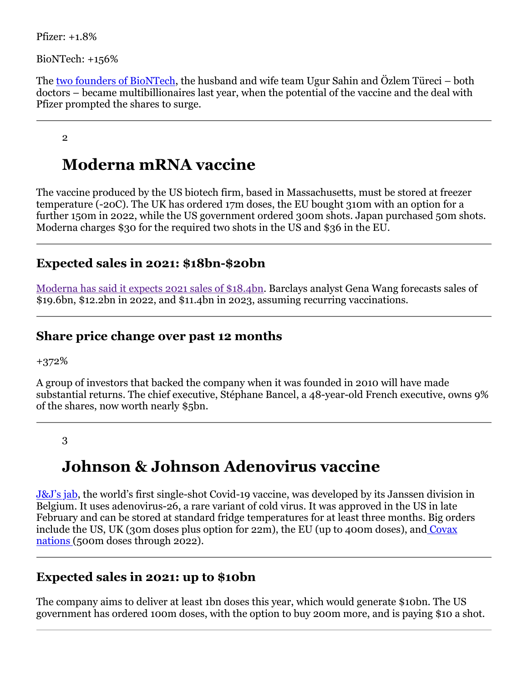Pfizer: +1.8%

BioNTech: +156%

The two founders of BioNTech, the husband and wife team Ugur Sahin and Özlem Türeci – both doctors – became multibillionaires last year, when the potential of the vaccine and the deal with Pfizer prompted the shares to surge.

#### 2

## **Moderna mRNA vaccine**

The vaccine produced by the US biotech firm, based in Massachusetts, must be stored at freezer temperature (-20C). The UK has ordered 17m doses, the EU bought 310m with an option for a further 150m in 2022, while the US government ordered 300m shots. Japan purchased 50m shots. Moderna charges \$30 for the required two shots in the US and \$36 in the EU.

#### **Expected sales in 2021: \$18bn-\$20bn**

Moderna has said it expects 2021 sales of \$18.4bn. Barclays analyst Gena Wang forecasts sales of \$19.6bn, \$12.2bn in 2022, and \$11.4bn in 2023, assuming recurring vaccinations.

#### **Share price change over past 12 months**

+372%

A group of investors that backed the company when it was founded in 2010 will have made substantial returns. The chief executive, Stéphane Bancel, a 48-year-old French executive, owns 9% of the shares, now worth nearly \$5bn.

#### 3

## **Johnson & Johnson Adenovirus vaccine**

J&J's jab, the world's first single-shot Covid-19 vaccine, was developed by its Janssen division in Belgium. It uses adenovirus-26, a rare variant of cold virus. It was approved in the US in late February and can be stored at standard fridge temperatures for at least three months. Big orders include the US, UK (30m doses plus option for 22m), the EU (up to 400m doses), and Covax nations (500m doses through 2022).

### **Expected sales in 2021: up to \$10bn**

The company aims to deliver at least 1bn doses this year, which would generate \$10bn. The US government has ordered 100m doses, with the option to buy 200m more, and is paying \$10 a shot.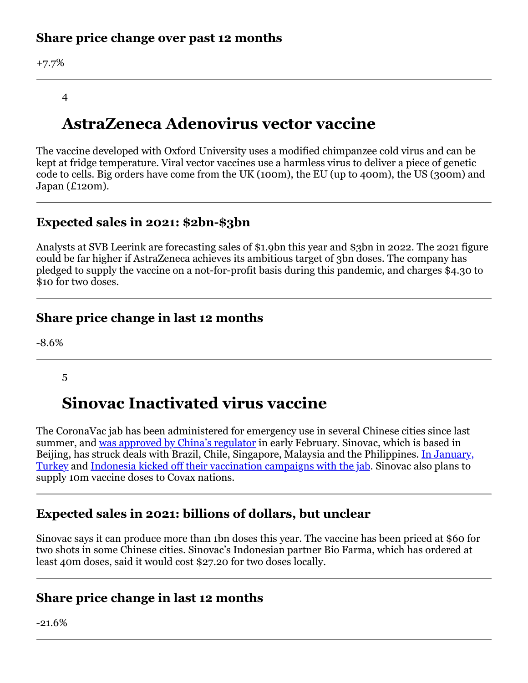### **Share price change over past 12 months**

+7.7%

#### 4

## **AstraZeneca Adenovirus vector vaccine**

The vaccine developed with Oxford University uses a modified chimpanzee cold virus and can be kept at fridge temperature. Viral vector vaccines use a harmless virus to deliver a piece of genetic code to cells. Big orders have come from the UK (100m), the EU (up to 400m), the US (300m) and Japan (£120m).

### **Expected sales in 2021: \$2bn-\$3bn**

Analysts at SVB Leerink are forecasting sales of \$1.9bn this year and \$3bn in 2022. The 2021 figure could be far higher if AstraZeneca achieves its ambitious target of 3bn doses. The company has pledged to supply the vaccine on a not-for-profit basis during this pandemic, and charges \$4.30 to \$10 for two doses.

#### **Share price change in last 12 months**

-8.6%

5

## **Sinovac Inactivated virus vaccine**

The CoronaVac jab has been administered for emergency use in several Chinese cities since last summer, and was approved by China's regulator in early February. Sinovac, which is based in Beijing, has struck deals with Brazil, Chile, Singapore, Malaysia and the Philippines. In January, Turkey and Indonesia kicked off their vaccination campaigns with the jab. Sinovac also plans to supply 10m vaccine doses to Covax nations.

### **Expected sales in 2021: billions of dollars, but unclear**

Sinovac says it can produce more than 1bn doses this year. The vaccine has been priced at \$60 for two shots in some Chinese cities. Sinovac's Indonesian partner Bio Farma, which has ordered at least 40m doses, said it would cost \$27.20 for two doses locally.

#### **Share price change in last 12 months**

-21.6%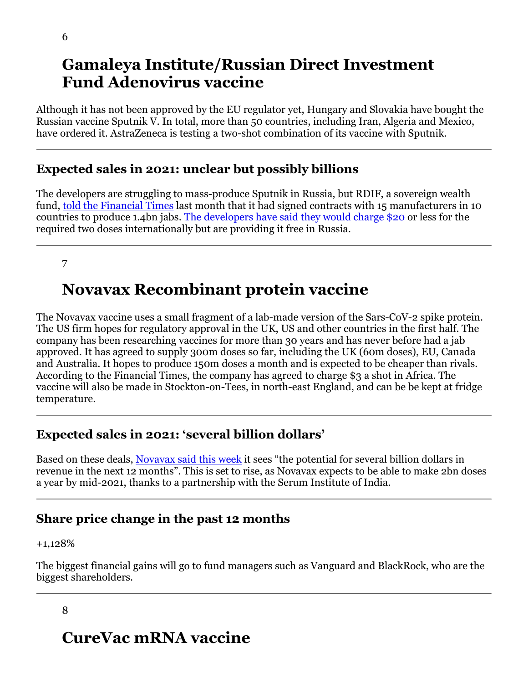### **Gamaleya Institute/Russian Direct Investment Fund Adenovirus vaccine**

Although it has not been approved by the EU regulator yet, Hungary and Slovakia have bought the Russian vaccine Sputnik V. In total, more than 50 countries, including Iran, Algeria and Mexico, have ordered it. AstraZeneca is testing a two-shot combination of its vaccine with Sputnik.

#### **Expected sales in 2021: unclear but possibly billions**

The developers are struggling to mass-produce Sputnik in Russia, but RDIF, a sovereign wealth fund, told the Financial Times last month that it had signed contracts with 15 manufacturers in 10 countries to produce 1.4bn jabs. The developers have said they would charge \$20 or less for the required two doses internationally but are providing it free in Russia.

7

## **Novavax Recombinant protein vaccine**

The Novavax vaccine uses a small fragment of a lab-made version of the Sars-CoV-2 spike protein. The US firm hopes for regulatory approval in the UK, US and other countries in the first half. The company has been researching vaccines for more than 30 years and has never before had a jab approved. It has agreed to supply 300m doses so far, including the UK (60m doses), EU, Canada and Australia. It hopes to produce 150m doses a month and is expected to be cheaper than rivals. According to the Financial Times, the company has agreed to charge \$3 a shot in Africa. The vaccine will also be made in Stockton-on-Tees, in north-east England, and can be be kept at fridge temperature.

### **Expected sales in 2021: 'several billion dollars'**

Based on these deals, Novavax said this week it sees "the potential for several billion dollars in revenue in the next 12 months". This is set to rise, as Novavax expects to be able to make 2bn doses a year by mid-2021, thanks to a partnership with the Serum Institute of India.

### **Share price change in the past 12 months**

The biggest financial gains will go to fund managers such as Vanguard and BlackRock, who are the biggest shareholders.

#### 8

# **CureVac mRNA vaccine**

<sup>+1,128%</sup>